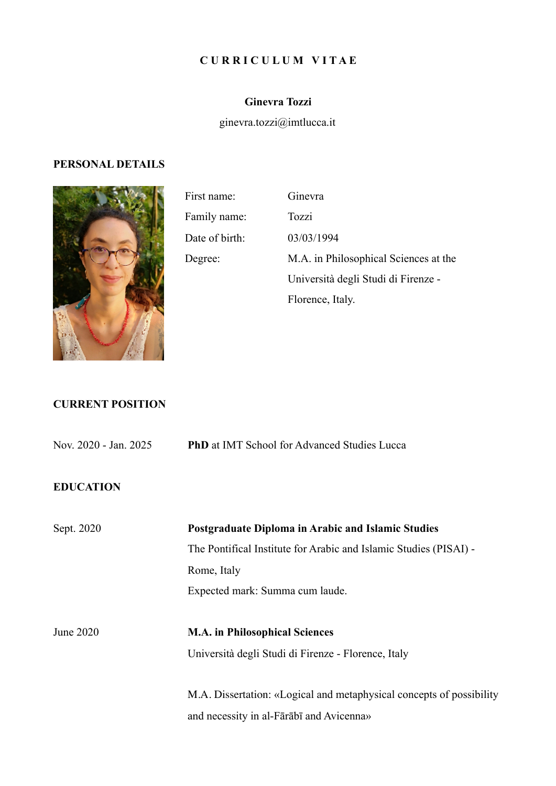#### **C U R R I C U L U M V I T A E**

## **Ginevra Tozzi**

ginevra.tozzi@imtlucca.it

#### **PERSONAL DETAILS**



First name: Ginevra Family name: Tozzi Date of birth: 03/03/1994 Degree: M.A. in Philosophical Sciences at the Università degli Studi di Firenze - Florence, Italy.

# **CURRENT POSITION**

| Nov. 2020 - Jan. 2025 | <b>PhD</b> at IMT School for Advanced Studies Lucca                  |
|-----------------------|----------------------------------------------------------------------|
| <b>EDUCATION</b>      |                                                                      |
| Sept. 2020            | Postgraduate Diploma in Arabic and Islamic Studies                   |
|                       | The Pontifical Institute for Arabic and Islamic Studies (PISAI) -    |
|                       | Rome, Italy                                                          |
|                       | Expected mark: Summa cum laude.                                      |
| June 2020             | <b>M.A.</b> in Philosophical Sciences                                |
|                       | Università degli Studi di Firenze - Florence, Italy                  |
|                       | M.A. Dissertation: «Logical and metaphysical concepts of possibility |
|                       | and necessity in al-Fārābī and Avicenna»                             |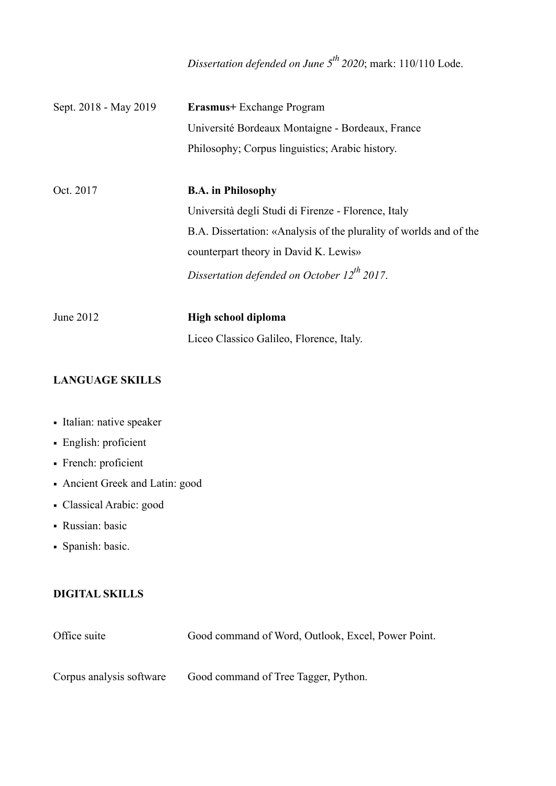*Dissertation defended on June 5th 2020*; mark: 110/110 Lode.

| Sept. 2018 - May 2019 | <b>Erasmus</b> + Exchange Program                                  |
|-----------------------|--------------------------------------------------------------------|
|                       | Université Bordeaux Montaigne - Bordeaux, France                   |
|                       | Philosophy; Corpus linguistics; Arabic history.                    |
|                       |                                                                    |
| Oct. 2017             | <b>B.A.</b> in Philosophy                                          |
|                       | Università degli Studi di Firenze - Florence, Italy                |
|                       | B.A. Dissertation: «Analysis of the plurality of worlds and of the |
|                       | counterpart theory in David K. Lewis»                              |
|                       | Dissertation defended on October $12^{th}$ 2017.                   |
|                       |                                                                    |
| June 2012             | High school diploma                                                |
|                       | Liceo Classico Galileo, Florence, Italy.                           |

## **LANGUAGE SKILLS**

- Italian: native speaker
- English: proficient
- French: proficient
- Ancient Greek and Latin: good
- Classical Arabic: good
- **Russian:** basic
- Spanish: basic.

## **DIGITAL SKILLS**

| Office suite             | Good command of Word, Outlook, Excel, Power Point. |
|--------------------------|----------------------------------------------------|
|                          |                                                    |
| Corpus analysis software | Good command of Tree Tagger, Python.               |